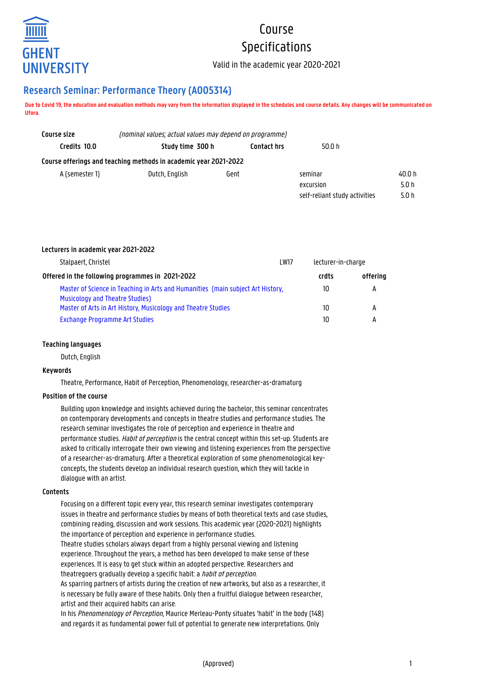

# Course Specifications

Valid in the academic year 2020-2021

## **Research Seminar: Performance Theory (A005314)**

**Due to Covid 19, the education and evaluation methods may vary from the information displayed in the schedules and course details. Any changes will be communicated on Ufora.**

| Course size    | (nominal values; actual values may depend on programme)          |                    |                               |        |
|----------------|------------------------------------------------------------------|--------------------|-------------------------------|--------|
| Credits 10.0   | Study time 300 h                                                 | <b>Contact hrs</b> | 50.0 h                        |        |
|                | Course offerings and teaching methods in academic year 2021-2022 |                    |                               |        |
| A (semester 1) | Dutch, English                                                   | Gent               | seminar                       | 40.0 h |
|                |                                                                  |                    | excursion                     | 5.0h   |
|                |                                                                  |                    | self-reliant study activities | 5.0 h  |

## **Lecturers in academic year 2021-2022**

| Stalpaert, Christel<br><b>LW17</b>                                              |  | lecturer-in-charge |          |
|---------------------------------------------------------------------------------|--|--------------------|----------|
| Offered in the following programmes in 2021-2022                                |  | crdts              | offering |
| Master of Science in Teaching in Arts and Humanities (main subject Art History, |  | 10                 | А        |
| <b>Musicology and Theatre Studies</b>                                           |  |                    |          |
| Master of Arts in Art History, Musicology and Theatre Studies                   |  | 10                 | А        |
| Exchange Programme Art Studies                                                  |  | 10                 | А        |
|                                                                                 |  |                    |          |

## **Teaching languages**

Dutch, English

## **Keywords**

Theatre, Performance, Habit of Perception, Phenomenology, researcher-as-dramaturg

## **Position of the course**

Building upon knowledge and insights achieved during the bachelor, this seminar concentrates on contemporary developments and concepts in theatre studies and performance studies. The research seminar investigates the role of perception and experience in theatre and performance studies. Habit of perception is the central concept within this set-up. Students are asked to critically interrogate their own viewing and listening experiences from the perspective of a researcher-as-dramaturg. After a theoretical exploration of some phenomenological keyconcepts, the students develop an individual research question, which they will tackle in dialogue with an artist.

## **Contents**

Focusing on a different topic every year, this research seminar investigates contemporary issues in theatre and performance studies by means of both theoretical texts and case studies, combining reading, discussion and work sessions. This academic year (2020-2021) highlights the importance of perception and experience in performance studies.

Theatre studies scholars always depart from a highly personal viewing and listening experience. Throughout the years, a method has been developed to make sense of these experiences. It is easy to get stuck within an adopted perspective. Researchers and theatregoers gradually develop a specific habit: a habit of perception.

As sparring partners of artists during the creation of new artworks, but also as a researcher, it is necessary be fully aware of these habits. Only then a fruitful dialogue between researcher, artist and their acquired habits can arise.

In his Phenomenology of Perception, Maurice Merleau-Ponty situates 'habit' in the body (148) and regards it as fundamental power full of potential to generate new interpretations. Only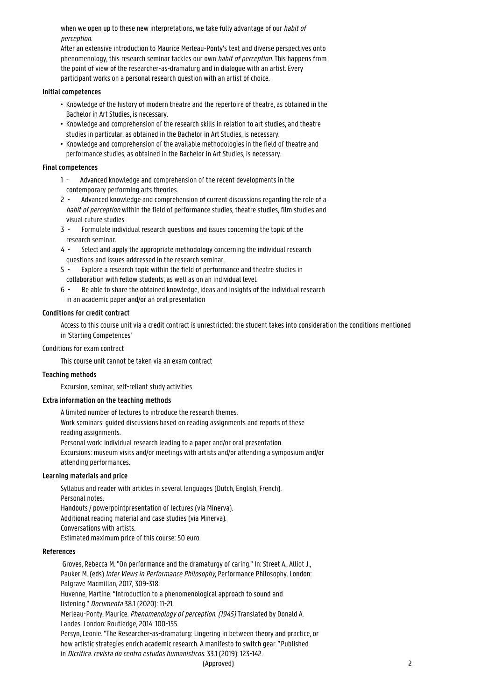when we open up to these new interpretations, we take fully advantage of our habit of perception.

After an extensive introduction to Maurice Merleau-Ponty's text and diverse perspectives onto phenomenology, this research seminar tackles our own habit of perception. This happens from the point of view of the researcher-as-dramaturg and in dialogue with an artist. Every participant works on a personal research question with an artist of choice.

## **Initial competences**

- Knowledge of the history of modern theatre and the repertoire of theatre, as obtained in the • Bachelor in Art Studies, is necessary.
- Knowledge and comprehension of the research skills in relation to art studies, and theatre • studies in particular, as obtained in the Bachelor in Art Studies, is necessary.
- Knowledge and comprehension of the available methodologies in the field of theatre and • performance studies, as obtained in the Bachelor in Art Studies, is necessary.

## **Final competences**

- 1 Advanced knowledge and comprehension of the recent developments in the contemporary performing arts theories.
- 2 Advanced knowledge and comprehension of current discussions regarding the role of a habit of perception within the field of performance studies, theatre studies, film studies and visual cuture studies.
- 3 Formulate individual research questions and issues concerning the topic of the research seminar.
- 4 Select and apply the appropriate methodology concerning the individual research questions and issues addressed in the research seminar.
- 5 Explore a research topic within the field of performance and theatre studies in collaboration with fellow students, as well as on an individual level.
- 6 Be able to share the obtained knowledge, ideas and insights of the individual research in an academic paper and/or an oral presentation

## **Conditions for credit contract**

Access to this course unit via a credit contract is unrestricted: the student takes into consideration the conditions mentioned in 'Starting Competences'

## Conditions for exam contract

This course unit cannot be taken via an exam contract

## **Teaching methods**

Excursion, seminar, self-reliant study activities

## **Extra information on the teaching methods**

A limited number of lectures to introduce the research themes. Work seminars: guided discussions based on reading assignments and reports of these reading assignments. Personal work: individual research leading to a paper and/or oral presentation. Excursions: museum visits and/or meetings with artists and/or attending a symposium and/or attending performances.

## **Learning materials and price**

Syllabus and reader with articles in several languages (Dutch, English, French). Personal notes. Handouts / powerpointpresentation of lectures (via Minerva). Additional reading material and case studies (via Minerva). Conversations with artists. Estimated maximum price of this course: 50 euro.

## **References**

 Groves, Rebecca M. "On performance and the dramaturgy of caring." In: Street A., Alliot J., Pauker M. (eds) Inter Views in Performance Philosophy, Performance Philosophy. London: Palgrave Macmillan, 2017, 309-318. Huvenne, Martine. "Introduction to a phenomenological approach to sound and listening." Documenta 38.1 (2020): 11-21. Merleau-Ponty, Maurice. Phenomenology of perception. (1945) Translated by Donald A. Landes. London: Routledge, 2014. 100-155. Persyn, Leonie. "The Researcher-as-dramaturg: Lingering in between theory and practice, or how artistic strategies enrich academic research. A manifesto to switch gear." Published in Dicritica. revista do centro estudos humanisticos. 33.1 (2019): 123-142.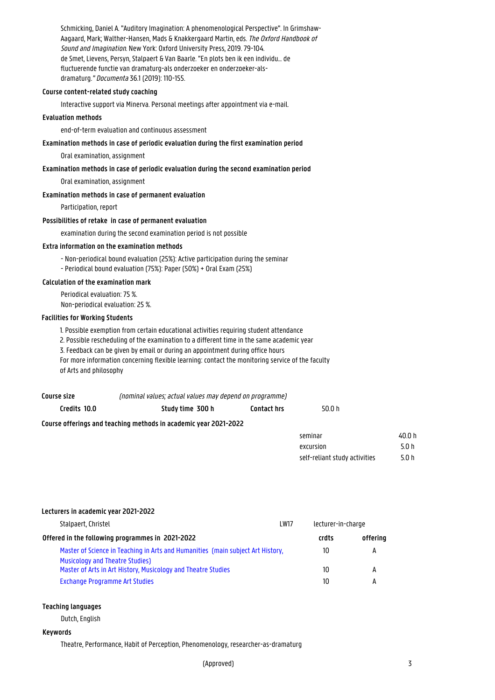Schmicking, Daniel A. "Auditory Imagination: A phenomenological Perspective". In Grimshaw-Aagaard, Mark; Walther-Hansen, Mads & Knakkergaard Martin, eds. The Oxford Handbook of Sound and Imagination. New York: Oxford University Press, 2019. 79-104. de Smet, Lievens, Persyn, Stalpaert & Van Baarle. "En plots ben ik een individu… de fluctuerende functie van dramaturg-als onderzoeker en onderzoeker-alsdramaturg." Documenta 36.1 (2019): 110-155.

## **Course content-related study coaching**

Interactive support via Minerva. Personal meetings after appointment via e-mail.

## **Evaluation methods**

end-of-term evaluation and continuous assessment

## **Examination methods in case of periodic evaluation during the first examination period**

Oral examination, assignment

## **Examination methods in case of periodic evaluation during the second examination period**

Oral examination, assignment

## **Examination methods in case of permanent evaluation**

Participation, report

#### **Possibilities of retake in case of permanent evaluation**

examination during the second examination period is not possible

#### **Extra information on the examination methods**

- Non-periodical bound evaluation (25%): Active participation during the seminar - Periodical bound evaluation (75%): Paper (50%) + Oral Exam (25%)

#### **Calculation of the examination mark**

Periodical evaluation: 75 %. Non-periodical evaluation: 25 %.

#### **Facilities for Working Students**

1. Possible exemption from certain educational activities requiring student attendance

2. Possible rescheduling of the examination to a different time in the same academic year

3. Feedback can be given by email or during an appointment during office hours

For more information concerning flexible learning: contact the monitoring service of the faculty of Arts and philosophy

| Course size  | (nominal values; actual values may depend on programme)          |                    |          |            |
|--------------|------------------------------------------------------------------|--------------------|----------|------------|
| Credits 10.0 | Study time 300 h                                                 | <b>Contact hrs</b> | 50.0 $h$ |            |
|              | Course offerings and teaching methods in academic year 2021-2022 |                    |          |            |
|              |                                                                  |                    | seminar  | 40.0 h     |
|              |                                                                  |                    | $\alpha$ | $F \cap h$ |

| <b>SEITIITIGI</b>             | 40.0 II |
|-------------------------------|---------|
| excursion                     | 50 h    |
| self-reliant study activities | 5.0 h   |

| Lecturers in academic year 2021-2022                                                                                      |             |                    |          |
|---------------------------------------------------------------------------------------------------------------------------|-------------|--------------------|----------|
| Stalpaert, Christel                                                                                                       | <b>LW17</b> | lecturer-in-charge |          |
| Offered in the following programmes in 2021-2022                                                                          |             | crdts              | offerina |
| Master of Science in Teaching in Arts and Humanities (main subject Art History,<br><b>Musicology and Theatre Studies)</b> |             | 10                 | А        |
| Master of Arts in Art History, Musicology and Theatre Studies                                                             |             | 10                 | А        |
| <b>Exchange Programme Art Studies</b>                                                                                     |             | 10                 | А        |

#### **Teaching languages**

Dutch, English

#### **Keywords**

Theatre, Performance, Habit of Perception, Phenomenology, researcher-as-dramaturg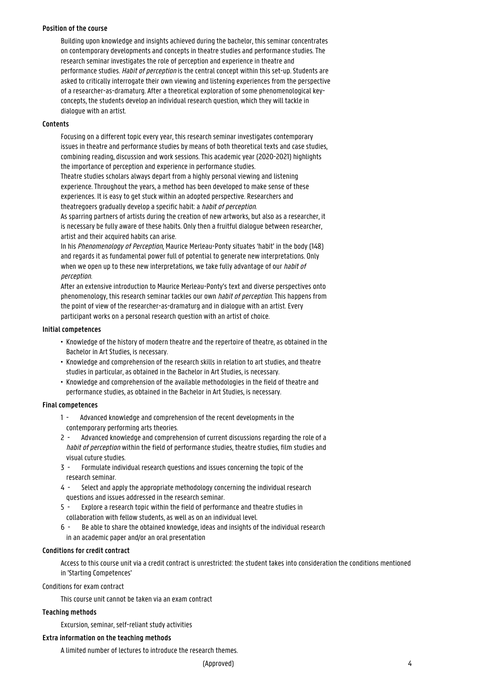#### **Position of the course**

Building upon knowledge and insights achieved during the bachelor, this seminar concentrates on contemporary developments and concepts in theatre studies and performance studies. The research seminar investigates the role of perception and experience in theatre and performance studies. Habit of perception is the central concept within this set-up. Students are asked to critically interrogate their own viewing and listening experiences from the perspective of a researcher-as-dramaturg. After a theoretical exploration of some phenomenological keyconcepts, the students develop an individual research question, which they will tackle in dialogue with an artist.

## **Contents**

Focusing on a different topic every year, this research seminar investigates contemporary issues in theatre and performance studies by means of both theoretical texts and case studies, combining reading, discussion and work sessions. This academic year (2020-2021) highlights the importance of perception and experience in performance studies.

Theatre studies scholars always depart from a highly personal viewing and listening experience. Throughout the years, a method has been developed to make sense of these experiences. It is easy to get stuck within an adopted perspective. Researchers and theatregoers gradually develop a specific habit: a *habit of perception.* 

As sparring partners of artists during the creation of new artworks, but also as a researcher, it is necessary be fully aware of these habits. Only then a fruitful dialogue between researcher, artist and their acquired habits can arise.

In his Phenomenology of Perception, Maurice Merleau-Ponty situates 'habit' in the body (148) and regards it as fundamental power full of potential to generate new interpretations. Only when we open up to these new interpretations, we take fully advantage of our *habit of* perception.

After an extensive introduction to Maurice Merleau-Ponty's text and diverse perspectives onto phenomenology, this research seminar tackles our own habit of perception. This happens from the point of view of the researcher-as-dramaturg and in dialogue with an artist. Every participant works on a personal research question with an artist of choice.

## **Initial competences**

- Knowledge of the history of modern theatre and the repertoire of theatre, as obtained in the • Bachelor in Art Studies, is necessary.
- Knowledge and comprehension of the research skills in relation to art studies, and theatre studies in particular, as obtained in the Bachelor in Art Studies, is necessary.
- Knowledge and comprehension of the available methodologies in the field of theatre and • performance studies, as obtained in the Bachelor in Art Studies, is necessary.

## **Final competences**

- 1 Advanced knowledge and comprehension of the recent developments in the contemporary performing arts theories.
- 2 Advanced knowledge and comprehension of current discussions regarding the role of a habit of perception within the field of performance studies, theatre studies, film studies and visual cuture studies.
- 3 Formulate individual research questions and issues concerning the topic of the research seminar.
- 4 Select and apply the appropriate methodology concerning the individual research 1 questions and issues addressed in the research seminar.
- 5 Explore a research topic within the field of performance and theatre studies in 1 collaboration with fellow students, as well as on an individual level.
- 6 Be able to share the obtained knowledge, ideas and insights of the individual research in an academic paper and/or an oral presentation

## **Conditions for credit contract**

Access to this course unit via a credit contract is unrestricted: the student takes into consideration the conditions mentioned in 'Starting Competences'

Conditions for exam contract

This course unit cannot be taken via an exam contract

## **Teaching methods**

Excursion, seminar, self-reliant study activities

## **Extra information on the teaching methods**

A limited number of lectures to introduce the research themes.